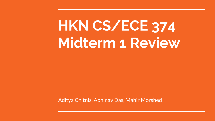### **HKN CS/ECE 374 Midterm 1 Review**

Aditya Chitnis, Abhinav Das, Mahir Morshed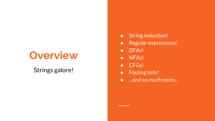### **Overview**

#### Strings galore!

- String induction!
- Regular expressions!
- DFAs!
- NFAs!
- CFGs!
- Fooling sets!
- ...and so much more...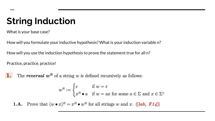#### **String Induction**

What is your base case?

How will you formulate your inductive hypothesis? What is your induction variable n?

How will you use the induction hypothesis to prove the statement true for all n?

Practice, practice, practice!

The **reversal**  $w^R$  of a string w is defined recursively as follows:

$$
w^R := \begin{cases} \varepsilon & \text{if } w = \varepsilon \\ x^R \bullet a & \text{if } w = ax \text{ for some } a \in \Sigma \text{ and } x \in \Sigma \end{cases}
$$

**1.A.** Prove that  $(w \bullet x)^R = x^R \bullet w^R$  for all strings w and x.  $\langle \langle lab, F14 \rangle \rangle$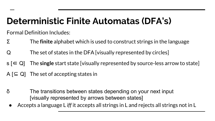#### **Deterministic Finite Automatas (DFA's)**

Formal Definition Includes:

- Σ The **finite** alphabet which is used to construct strings in the language
- Q The set of states in the DFA [visually represented by circles]
- s [∈ Q] The **single** start state [visually represented by source-less arrow to state]
- $A \subseteq Q$  The set of accepting states in
- δ The transitions between states depending on your next input [visually represented by arrows between states]
- Accepts a language L *iff* it accepts all strings in L and rejects all strings not in L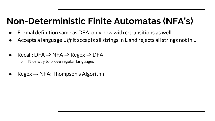#### **Non-Deterministic Finite Automatas (NFA's)**

- Formal definition same as DFA, only now with  $\varepsilon$ -transitions as well
- Accepts a language L *iff* it accepts all strings in L and rejects all strings not in L
- Recall: DFA  $\Rightarrow$  NFA  $\Rightarrow$  Regex  $\Rightarrow$  DFA
	- Nice way to prove regular languages
- $Regex \rightarrow NFA$ : Thompson's Algorithm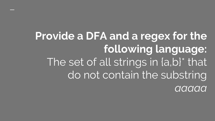**Provide a DFA and a regex for the following language:** The set of all strings in [a,b]\* that do not contain the substring *aaaaa*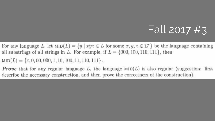#### Fall 2017 #3

For any language L, let  $\text{MID}(L) = \{y \mid xyz \in L \text{ for some } x, y, z \in \Sigma^*\}$  be the language containing all substrings of all strings in L. For example, if  $L = \{000, 100, 110, 111\}$ , then

 $MD(L) = \{ \varepsilon, 0, 00, 000, 1, 10, 100, 11, 110, 111 \}.$ 

**Prove** that for any regular language L, the language  $M(D|L)$  is also regular (suggestion: first describe the necessary construction, and then prove the correctness of the construction).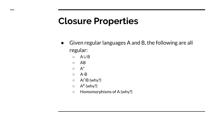#### **Closure Properties**

- Given regular languages A and B, the following are all regular:
	- A∪B
	- AB
	- $\circ$   $A^*$
	- $\circ$  A-B
	- A∩B (why?)
	- $\circ$  A<sup>R</sup> (why?)
	- Homomorphisms of A (why?)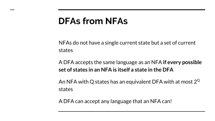#### **DFAs from NFAs**

NFAs do not have a single current state but a set of current states

A DFA accepts the same language as an NFA **if every possible set of states in an NFA is itself a state in the DFA**

An NFA with Q states has an equivalent DFA with at most  $2^Q$ states

A DFA can accept any language that an NFA can!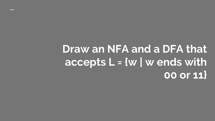### **Draw an NFA and a DFA that accepts L = {w | w ends with 00 or 11}**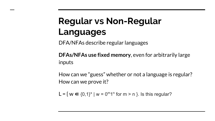#### **Regular vs Non-Regular Languages**

DFA/NFAs describe regular languages

**DFAs/NFAs use fixed memory**, even for arbitrarily large inputs

How can we "guess" whether or not a language is regular? How can we prove it?

 $L = \{ w \in \{0,1\}^* \mid w = 0^m 1^n \text{ for } m > n \}.$  Is this regular?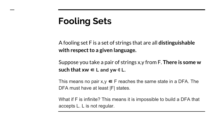#### **Fooling Sets**

A fooling set F is a set of strings that are all **distinguishable with respect to a given language.**

Suppose you take a pair of strings x,y from F. **There is some w**  such that  $xw \in L$  and  $yw \notin L$ .

This means no pair  $x,y \in F$  reaches the same state in a DFA. The DFA must have at least |F| states.

What if F is infinite? This means it is impossible to build a DFA that accepts L. L is not regular.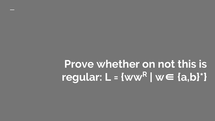### **Prove whether on not this is regular: L = {ww<sup>R</sup> | w**∈ **{a,b}\*}**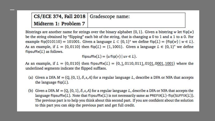| CS/ECE 374, Fall 2018 Gradescope name: |  |
|----------------------------------------|--|
| Midterm 1: Problem 7                   |  |

Bitstrings are another name for strings over the binary alphabet  $\{0, 1\}$ . Given a bitstring w let flip(w) be the string obtained by "flipping" each bit of the string, that is changing a 0 to 1 and a 1 to a 0. For example flip(010110) = 101001. Given a language  $L \subset \{0, 1\}^*$  we define flip(L) =  $\{\text{flip}(w) \mid w \in L\}$ . As an example, if  $L = \{0, 0110\}$  then flip(L) = {1,1001}. Given a language  $L \in \{0, 1\}^*$  we define flipsuffix $(L)$  as follows.

flipsuffix(L) = { $u$  flip( $v$ ) |  $uv \in L$  }.

As an example, if  $L = \{0, 0110\}$  then flipsuffix(L) =  $\{0, 1, 0110, 0111, 0101, 0001, 1001\}$  where the underlined segments indicate the flipped suffixes.

- (a) Given a DFA  $M = (Q, \{0, 1\}, \delta, s, A)$  for a regular language L, describe a DFA or NFA that accepts the language flip $(L)$ .
- (b) Given a DFA  $M = (Q, \{0, 1\}, \delta, s, A)$  for a regular language L, describe a DFA or NFA that accepts the language flipsuffix(L). Note that flipsuffix(L) is not necessarily same as PREFIX(L) $\cdot$ flip(SUFFIX(L)). The previous part is to help you think about this second part. If you are confident about the solution to this part you can skip the previous part and get full credit.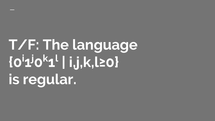# **T/F: The language {0i1 j0 k 1 l | i,j,k,l≥0} is regular.**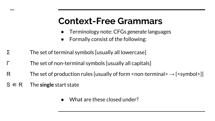#### **Context-Free Grammars**

- Terminology note: CFGs *generate* languages
- Formally consist of the following:
- Σ The set of terminal symbols [usually all lowercase]
- The set of non-terminal symbols [usually all capitals]
- R The set of production rules [usually of form <non-terminal> $\rightarrow$  {<symbol>}]
- $S \in \mathsf{R}$  The **single** start state
	- What are these closed under?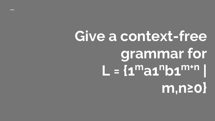## **Give a context-free grammar for**  $L = {1^m}$ a1<sup>n</sup>b1<sup>m+n</sup> | **m,n≥0}**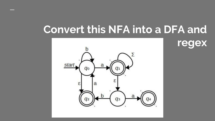### **Convert this NFA into a DFA and**

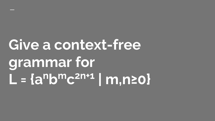## **Give a context-free grammar for L = {anbmc 2n+1 | m,n≥0}**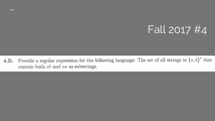#### Fall 2017 #4

Provide a regular expression for the following language: The set of all strings in  $\{a, b\}^*$  that  $4.B.$ contain both  $ab$  and  $aa$  as substrings.